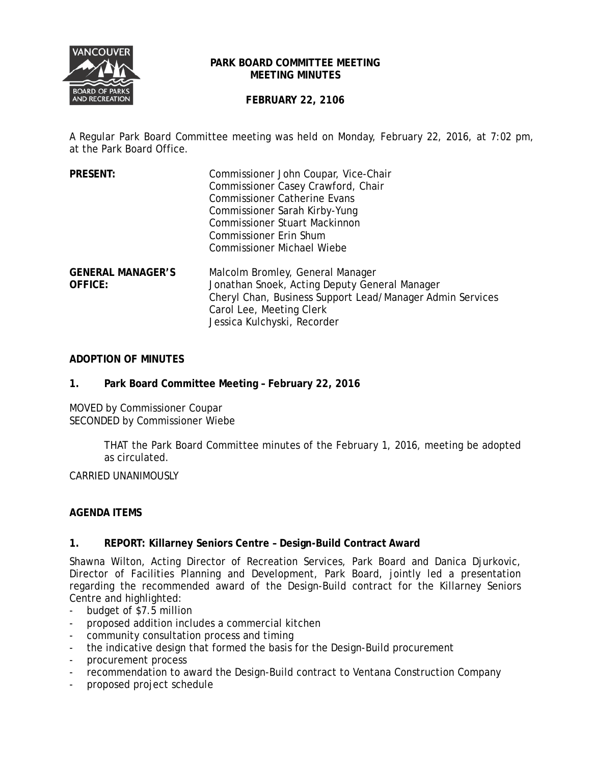

#### **PARK BOARD COMMITTEE MEETING MEETING MINUTES**

# **FEBRUARY 22, 2106**

A Regular Park Board Committee meeting was held on Monday, February 22, 2016, at 7:02 pm, at the Park Board Office.

| <b>PRESENT:</b>                            | Commissioner John Coupar, Vice-Chair<br>Commissioner Casey Crawford, Chair<br><b>Commissioner Catherine Evans</b><br>Commissioner Sarah Kirby-Yung<br><b>Commissioner Stuart Mackinnon</b><br><b>Commissioner Erin Shum</b><br><b>Commissioner Michael Wiebe</b> |
|--------------------------------------------|------------------------------------------------------------------------------------------------------------------------------------------------------------------------------------------------------------------------------------------------------------------|
| <b>GENERAL MANAGER'S</b><br><b>OFFICE:</b> | Malcolm Bromley, General Manager<br>Jonathan Snoek, Acting Deputy General Manager<br>Cheryl Chan, Business Support Lead/Manager Admin Services<br>Carol Lee, Meeting Clerk<br>Jessica Kulchyski, Recorder                                                        |

## **ADOPTION OF MINUTES**

### **1. Park Board Committee Meeting – February 22, 2016**

MOVED by Commissioner Coupar SECONDED by Commissioner Wiebe

> THAT the Park Board Committee minutes of the February 1, 2016, meeting be adopted as circulated.

CARRIED UNANIMOUSLY

## **AGENDA ITEMS**

## **1. REPORT: Killarney Seniors Centre – Design-Build Contract Award**

Shawna Wilton, Acting Director of Recreation Services, Park Board and Danica Djurkovic, Director of Facilities Planning and Development, Park Board, jointly led a presentation regarding the recommended award of the Design-Build contract for the Killarney Seniors Centre and highlighted:

- budget of \$7.5 million
- proposed addition includes a commercial kitchen
- community consultation process and timing
- the indicative design that formed the basis for the Design-Build procurement
- procurement process
- recommendation to award the Design-Build contract to Ventana Construction Company
- proposed project schedule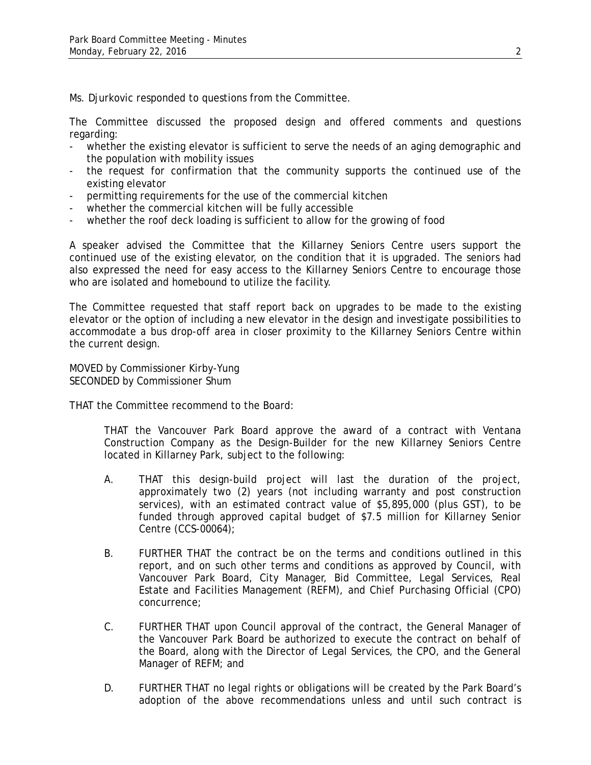Ms. Djurkovic responded to questions from the Committee.

The Committee discussed the proposed design and offered comments and questions regarding:

- whether the existing elevator is sufficient to serve the needs of an aging demographic and the population with mobility issues
- the request for confirmation that the community supports the continued use of the existing elevator
- permitting requirements for the use of the commercial kitchen
- whether the commercial kitchen will be fully accessible
- whether the roof deck loading is sufficient to allow for the growing of food

A speaker advised the Committee that the Killarney Seniors Centre users support the continued use of the existing elevator, on the condition that it is upgraded. The seniors had also expressed the need for easy access to the Killarney Seniors Centre to encourage those who are isolated and homebound to utilize the facility.

The Committee requested that staff report back on upgrades to be made to the existing elevator or the option of including a new elevator in the design and investigate possibilities to accommodate a bus drop-off area in closer proximity to the Killarney Seniors Centre within the current design.

MOVED by Commissioner Kirby-Yung SECONDED by Commissioner Shum

THAT the Committee recommend to the Board:

THAT the Vancouver Park Board approve the award of a contract with Ventana Construction Company as the Design-Builder for the new Killarney Seniors Centre located in Killarney Park, subject to the following:

- A. THAT this design-build project will last the duration of the project, approximately two (2) years (not including warranty and post construction services), with an estimated contract value of \$5,895,000 (plus GST), to be funded through approved capital budget of \$7.5 million for Killarney Senior Centre (CCS-00064);
- B. FURTHER THAT the contract be on the terms and conditions outlined in this report, and on such other terms and conditions as approved by Council, with Vancouver Park Board, City Manager, Bid Committee, Legal Services, Real Estate and Facilities Management (REFM), and Chief Purchasing Official (CPO) concurrence;
- C. FURTHER THAT upon Council approval of the contract, the General Manager of the Vancouver Park Board be authorized to execute the contract on behalf of the Board, along with the Director of Legal Services, the CPO, and the General Manager of REFM; and
- D. FURTHER THAT no legal rights or obligations will be created by the Park Board's adoption of the above recommendations unless and until such contract is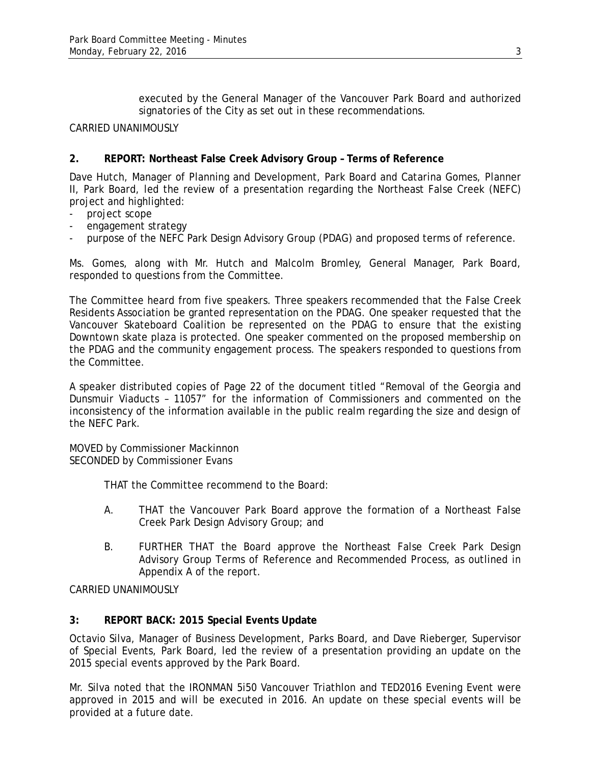executed by the General Manager of the Vancouver Park Board and authorized signatories of the City as set out in these recommendations.

#### CARRIED UNANIMOUSLY

### **2. REPORT: Northeast False Creek Advisory Group – Terms of Reference**

Dave Hutch, Manager of Planning and Development, Park Board and Catarina Gomes, Planner II, Park Board, led the review of a presentation regarding the Northeast False Creek (NEFC) project and highlighted:

- project scope
- engagement strategy
- purpose of the NEFC Park Design Advisory Group (PDAG) and proposed terms of reference.

Ms. Gomes, along with Mr. Hutch and Malcolm Bromley, General Manager, Park Board, responded to questions from the Committee.

The Committee heard from five speakers. Three speakers recommended that the False Creek Residents Association be granted representation on the PDAG. One speaker requested that the Vancouver Skateboard Coalition be represented on the PDAG to ensure that the existing Downtown skate plaza is protected. One speaker commented on the proposed membership on the PDAG and the community engagement process. The speakers responded to questions from the Committee.

A speaker distributed copies of Page 22 of the document titled "Removal of the Georgia and Dunsmuir Viaducts – 11057" for the information of Commissioners and commented on the inconsistency of the information available in the public realm regarding the size and design of the NEFC Park.

MOVED by Commissioner Mackinnon SECONDED by Commissioner Evans

THAT the Committee recommend to the Board:

- A. THAT the Vancouver Park Board approve the formation of a Northeast False Creek Park Design Advisory Group; and
- B. FURTHER THAT the Board approve the Northeast False Creek Park Design Advisory Group Terms of Reference and Recommended Process, as outlined in Appendix A of the report.

CARRIED UNANIMOUSLY

#### **3: REPORT BACK: 2015 Special Events Update**

Octavio Silva, Manager of Business Development, Parks Board, and Dave Rieberger, Supervisor of Special Events, Park Board, led the review of a presentation providing an update on the 2015 special events approved by the Park Board.

Mr. Silva noted that the IRONMAN 5i50 Vancouver Triathlon and TED2016 Evening Event were approved in 2015 and will be executed in 2016. An update on these special events will be provided at a future date.